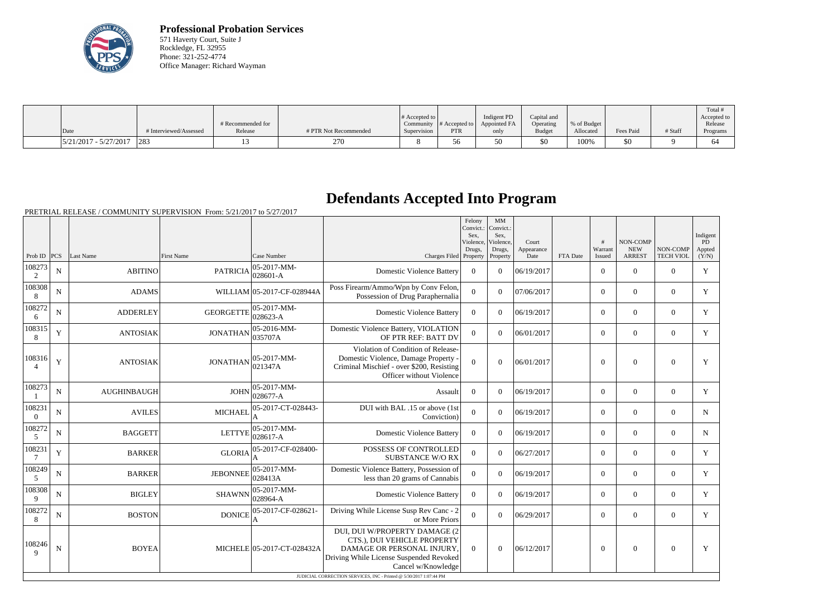

**Professional Probation Services** 571 Haverty Court, Suite J Rockledge, FL 32955 Phone: 321-252-4774 Office Manager: Richard Wayman

|                         |                        | # Recommended for |                       | # Accepted to<br>Community | $\cdot$ # Accepted to $\vert$ | Indigent PD<br>Appointed FA | Capital and<br>Operating | % of Budget |           |         | Total<br>Accepted to<br>Release |
|-------------------------|------------------------|-------------------|-----------------------|----------------------------|-------------------------------|-----------------------------|--------------------------|-------------|-----------|---------|---------------------------------|
| Date                    | # Interviewed/Assessed | Release           | # PTR Not Recommended | Supervision                | <b>PTR</b>                    | only                        | Budget                   | Allocated   | Fees Paid | # Staff | Programs                        |
| $5/21/2017 - 5/27/2017$ | $ 283\rangle$          |                   | 270                   |                            |                               | υU                          | \$0                      | 100%        | \$0       |         | .64                             |

## **Defendants Accepted Into Program**

|                           |                |                    |                  |                            |                                                                                                                                                                                                                                   | Felony<br>Convict.:<br>Sex.<br>Violence, | MM<br>Convict.:<br>Sex.<br>Violence, | Court              |          | #                 | NON-COMP                    |                              | Indigent<br>PD  |
|---------------------------|----------------|--------------------|------------------|----------------------------|-----------------------------------------------------------------------------------------------------------------------------------------------------------------------------------------------------------------------------------|------------------------------------------|--------------------------------------|--------------------|----------|-------------------|-----------------------------|------------------------------|-----------------|
| Prob ID $ PCS $           |                | Last Name          | First Name       | Case Number                | Charges Filed Property                                                                                                                                                                                                            | Drugs,                                   | Drugs,<br>Property                   | Appearance<br>Date | FTA Date | Warrant<br>Issued | <b>NEW</b><br><b>ARREST</b> | NON-COMP<br><b>TECH VIOL</b> | Appted<br>(Y/N) |
| 108273<br>2               | $\mathbf N$    | <b>ABITINO</b>     | <b>PATRICIA</b>  | 05-2017-MM-<br>028601-A    | <b>Domestic Violence Battery</b>                                                                                                                                                                                                  | $\overline{0}$                           | $\overline{0}$                       | 06/19/2017         |          | $\overline{0}$    | $\boldsymbol{0}$            | $\overline{0}$               | Y               |
| 108308<br>8               | $\mathbf N$    | <b>ADAMS</b>       |                  | WILLIAM 05-2017-CF-028944A | Poss Firearm/Ammo/Wpn by Conv Felon,<br>Possession of Drug Paraphernalia                                                                                                                                                          | $\overline{0}$                           | $\Omega$                             | 07/06/2017         |          | $\Omega$          | $\boldsymbol{0}$            | $\Omega$                     | Y               |
| 108272<br>6               | N              | <b>ADDERLEY</b>    | <b>GEORGETTE</b> | 05-2017-MM-<br>028623-A    | <b>Domestic Violence Battery</b>                                                                                                                                                                                                  | $\overline{0}$                           | $\Omega$                             | 06/19/2017         |          | $\overline{0}$    | $\overline{0}$              | $\overline{0}$               | Y               |
| 108315<br>8               | $\mathbf Y$    | <b>ANTOSIAK</b>    | <b>JONATHAN</b>  | 05-2016-MM-<br>035707A     | Domestic Violence Battery, VIOLATION<br>OF PTR REF: BATT DV                                                                                                                                                                       | $\overline{0}$                           | $\Omega$                             | 06/01/2017         |          | $\overline{0}$    | $\boldsymbol{0}$            | $\overline{0}$               | Y               |
| 108316<br>$\Delta$        | Y              | <b>ANTOSIAK</b>    | <b>JONATHAN</b>  | 05-2017-MM-<br>021347A     | Violation of Condition of Release-<br>Domestic Violence, Damage Property<br>Criminal Mischief - over \$200, Resisting<br>Officer without Violence                                                                                 | $\Omega$                                 | $\theta$                             | 06/01/2017         |          | $\mathbf{0}$      | $\mathbf{0}$                | $\boldsymbol{0}$             | Y               |
| 108273                    | $\mathbf N$    | <b>AUGHINBAUGH</b> | <b>JOHN</b>      | 05-2017-MM-<br>028677-A    | Assault                                                                                                                                                                                                                           | $\Omega$                                 | $\Omega$                             | 06/19/2017         |          | $\overline{0}$    | $\boldsymbol{0}$            | $\overline{0}$               | Y               |
| 108231<br>$\Omega$        | $\mathbf N$    | <b>AVILES</b>      | <b>MICHAEL</b>   | 05-2017-CT-028443-         | DUI with BAL .15 or above (1st<br>Conviction)                                                                                                                                                                                     | $\theta$                                 | $\theta$                             | 06/19/2017         |          | $\overline{0}$    | $\Omega$                    | $\overline{0}$               | $\mathbf N$     |
| 108272<br>5               | N              | <b>BAGGETT</b>     | <b>LETTYE</b>    | 05-2017-MM-<br>028617-A    | <b>Domestic Violence Battery</b>                                                                                                                                                                                                  | $\theta$                                 | $\theta$                             | 06/19/2017         |          | $\overline{0}$    | $\mathbf{0}$                | $\overline{0}$               | N               |
| 108231<br>$7\phantom{.0}$ | Y              | <b>BARKER</b>      | <b>GLORIA</b>    | 05-2017-CF-028400-         | POSSESS OF CONTROLLED<br><b>SUBSTANCE W/O RX</b>                                                                                                                                                                                  | $\overline{0}$                           | $\theta$                             | 06/27/2017         |          | $\Omega$          | $\Omega$                    | $\overline{0}$               | Y               |
| 108249<br>5               | $\mathbf N$    | <b>BARKER</b>      | <b>JEBONNEE</b>  | 05-2017-MM-<br>028413A     | Domestic Violence Battery, Possession of<br>less than 20 grams of Cannabis                                                                                                                                                        | $\overline{0}$                           | $\theta$                             | 06/19/2017         |          | $\overline{0}$    | $\mathbf{0}$                | $\overline{0}$               | Y               |
| 108308<br>9               | $\mathbf N$    | <b>BIGLEY</b>      | <b>SHAWNN</b>    | 05-2017-MM-<br>028964-A    | <b>Domestic Violence Battery</b>                                                                                                                                                                                                  | $\mathbf{0}$                             | $\theta$                             | 06/19/2017         |          | $\overline{0}$    | $\mathbf{0}$                | $\mathbf{0}$                 | Y               |
| 108272<br>8               | $\overline{N}$ | <b>BOSTON</b>      | <b>DONICE</b>    | 05-2017-CF-028621-         | Driving While License Susp Rev Canc - 2<br>or More Priors                                                                                                                                                                         | $\overline{0}$                           | $\theta$                             | 06/29/2017         |          | $\overline{0}$    | $\mathbf{0}$                | $\mathbf{0}$                 | Y               |
| 108246<br>9               | $\mathbf N$    | <b>BOYEA</b>       |                  | MICHELE 05-2017-CT-028432A | DUI, DUI W/PROPERTY DAMAGE (2<br>CTS.), DUI VEHICLE PROPERTY<br>DAMAGE OR PERSONAL INJURY,<br>Driving While License Suspended Revoked<br>Cancel w/Knowledge<br>JUDICIAL CORRECTION SERVICES, INC - Printed @ 5/30/2017 1:07:44 PM | $\Omega$                                 | $\theta$                             | 06/12/2017         |          | $\theta$          | $\mathbf{0}$                | $\overline{0}$               | Y               |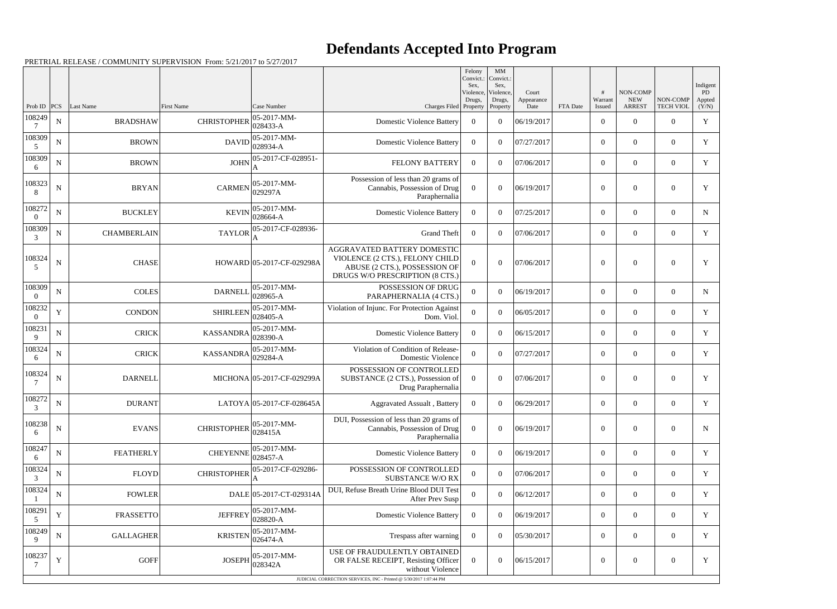## **Defendants Accepted Into Program**

| Violence,<br>NON-COMP<br>Violence,<br>Court<br>Warrant<br>NON-COMP<br>Drugs,<br><b>NEW</b><br>Drugs,<br>Appearance<br>Case Number<br><b>ARREST</b><br><b>TECH VIOL</b><br>Prob ID<br> PCS <br>Last Name<br><b>First Name</b><br>Charges Filed Property<br>FTA Date<br>Property<br>Date<br>Issued<br>108249<br>05-2017-MM-<br>$\mathbf N$<br><b>CHRISTOPHER</b><br><b>Domestic Violence Battery</b><br>$\overline{0}$<br><b>BRADSHAW</b><br>$\theta$<br>06/19/2017<br>$\overline{0}$<br>$\overline{0}$<br>$\overline{0}$<br>$ 028433 - A$<br>108309<br>$ 05-2017-MM-$<br>${\bf N}$<br><b>BROWN</b><br>DAVID<br>$\overline{0}$<br>$\overline{0}$<br><b>Domestic Violence Battery</b><br>$\overline{0}$<br>$\theta$<br>07/27/2017<br>$\overline{0}$<br>$ 028934-A$<br>5<br>108309<br>JOHN 05-2017-CF-028951-<br>${\bf N}$<br>$\overline{0}$<br><b>BROWN</b><br><b>FELONY BATTERY</b><br>$\overline{0}$<br>$\theta$<br>07/06/2017<br>$\overline{0}$<br>$\overline{0}$<br>6<br>A<br>Possession of less than 20 grams of<br>108323<br>CARMEN $ 05-2017-MM-$<br>$\mathbf N$<br><b>BRYAN</b><br>$\theta$<br>$\Omega$<br>$\overline{0}$<br>$\overline{0}$<br>Cannabis, Possession of Drug<br>06/19/2017<br>$\theta$<br> 029297A<br>8<br>Paraphernalia<br>108272<br>$ 05-2017-MM-$<br>${\bf N}$<br><b>BUCKLEY</b><br><b>KEVIN</b><br><b>Domestic Violence Battery</b><br>07/25/2017<br>$\overline{0}$<br>$\Omega$<br>$\theta$<br>$\overline{0}$<br>$\theta$<br>$ 028664-A$<br>$\Omega$<br>108309<br>05-2017-CF-028936-<br><b>TAYLOR</b><br><b>CHAMBERLAIN</b><br><b>Grand Theft</b><br>$\overline{0}$<br>$\overline{0}$<br>N<br>$\overline{0}$<br>$\theta$<br>07/06/2017<br>$\overline{0}$<br>3<br>A<br>AGGRAVATED BATTERY DOMESTIC<br>108324<br>VIOLENCE (2 CTS.), FELONY CHILD<br>$\mathbf N$<br><b>CHASE</b><br>$\theta$<br>HOWARD 05-2017-CF-029298A<br>$\theta$<br>$\theta$<br>07/06/2017<br>$\theta$<br>$\overline{0}$<br>ABUSE (2 CTS.), POSSESSION OF<br>5<br>DRUGS W/O PRESCRIPTION (8 CTS.)<br>108309<br>POSSESSION OF DRUG<br>$ 05-2017-MM-$<br><b>COLES</b><br>${\bf N}$<br><b>DARNELL</b><br>06/19/2017<br>$\overline{0}$<br>$\overline{0}$<br>$\theta$<br>$\overline{0}$<br>$\overline{0}$<br>$ 028965 - A$<br>PARAPHERNALIA (4 CTS.)<br>$\overline{0}$<br>108232<br>$ 05 - 2017 - MM -$<br>Violation of Injunc. For Protection Against<br>$\mathbf Y$<br><b>SHIRLEEN</b><br>$\theta$<br>$\overline{0}$<br><b>CONDON</b><br>$\theta$<br>06/05/2017<br>$\overline{0}$<br>$\overline{0}$<br>$028405 - A$<br>Dom. Viol.<br>$\Omega$<br>108231<br>$ 05-2017-MM-$<br>${\bf N}$<br><b>CRICK</b><br><b>KASSANDRA</b><br><b>Domestic Violence Battery</b><br>06/15/2017<br>$\overline{0}$<br>$\Omega$<br>$\theta$<br>$\overline{0}$<br>$\overline{0}$<br>$ 028390 - A$<br>9<br>108324<br>Violation of Condition of Release-<br>05-2017-MM-<br>${\bf N}$<br><b>CRICK</b><br>$\theta$<br>07/27/2017<br>$\overline{0}$<br><b>KASSANDRA</b><br>$\Omega$<br>$\overline{0}$<br>$\overline{0}$<br>$ 029284 - A$<br>Domestic Violence<br>6<br>POSSESSION OF CONTROLLED<br>108324<br>MICHONA 05-2017-CF-029299A<br>SUBSTANCE (2 CTS.), Possession of<br>07/06/2017<br>$\overline{0}$<br>N<br><b>DARNELL</b><br>$\overline{0}$<br>$\theta$<br>$\overline{0}$<br>$\boldsymbol{0}$<br>Drug Paraphernalia<br>108272<br>$\mathbf N$<br><b>DURANT</b><br>LATOYA 05-2017-CF-028645A<br>$\overline{0}$<br>$\overline{0}$<br>06/29/2017<br>$\overline{0}$<br>$\mathbf{0}$<br>$\overline{0}$<br><b>Aggravated Assualt</b> , Battery<br>$\mathfrak{Z}$<br>DUI, Possession of less than 20 grams of<br>108238<br>$ 05-2017-MM-$<br>$\mathbf N$<br><b>CHRISTOPHER</b><br><b>EVANS</b><br>Cannabis, Possession of Drug<br>$\overline{0}$<br>$\overline{0}$<br>$\overline{0}$<br>06/19/2017<br>$\overline{0}$<br>$\mathbf{0}$<br>028415A<br>6<br>Paraphernalia<br>108247<br>$ 05-2017-MM-$<br>${\bf N}$<br><b>FEATHERLY</b><br><b>CHEYENNE</b><br>$\theta$<br>06/19/2017<br>$\overline{0}$<br>$\overline{0}$<br>$\overline{0}$<br><b>Domestic Violence Battery</b><br>$\overline{0}$<br>028457-A<br>6<br>108324<br>05-2017-CF-029286-<br>POSSESSION OF CONTROLLED<br><b>FLOYD</b><br><b>CHRISTOPHER</b><br>${\bf N}$<br>07/06/2017<br>$\overline{0}$<br>$\Omega$<br>$\theta$<br>$\overline{0}$<br>$\mathbf{0}$<br><b>SUBSTANCE W/O RX</b><br>3<br>108324<br>DUI, Refuse Breath Urine Blood DUI Test<br>${\bf N}$<br><b>FOWLER</b><br>DALE 05-2017-CT-029314A<br>$\mathbf{0}$<br>$\boldsymbol{0}$<br>06/12/2017<br>$\overline{0}$<br>$\boldsymbol{0}$<br>$\overline{0}$<br>After Prev Susp<br>108291<br>$ 05-2017-MM-$<br>$\mathbf Y$<br><b>JEFFREY</b><br><b>FRASSETTO</b><br><b>Domestic Violence Battery</b><br>06/19/2017<br>$\overline{0}$<br>$\overline{0}$<br>$\overline{0}$<br>$\overline{0}$<br>$\overline{0}$<br>$ 028820 - A$<br>5<br>108249<br>05-2017-MM-<br>${\bf N}$<br><b>GALLAGHER</b><br><b>KRISTEN</b><br>05/30/2017<br>$\overline{0}$<br>$\overline{0}$<br>Trespass after warning<br>$\overline{0}$<br>$\theta$<br>$\overline{0}$<br>$ 026474 - A$<br>9 |  |  |  | Felony<br>Convict.:<br>Sex, | $\mathbf{M}\mathbf{M}$<br>Convict.:<br>Sex, |  |  | Indigent              |
|------------------------------------------------------------------------------------------------------------------------------------------------------------------------------------------------------------------------------------------------------------------------------------------------------------------------------------------------------------------------------------------------------------------------------------------------------------------------------------------------------------------------------------------------------------------------------------------------------------------------------------------------------------------------------------------------------------------------------------------------------------------------------------------------------------------------------------------------------------------------------------------------------------------------------------------------------------------------------------------------------------------------------------------------------------------------------------------------------------------------------------------------------------------------------------------------------------------------------------------------------------------------------------------------------------------------------------------------------------------------------------------------------------------------------------------------------------------------------------------------------------------------------------------------------------------------------------------------------------------------------------------------------------------------------------------------------------------------------------------------------------------------------------------------------------------------------------------------------------------------------------------------------------------------------------------------------------------------------------------------------------------------------------------------------------------------------------------------------------------------------------------------------------------------------------------------------------------------------------------------------------------------------------------------------------------------------------------------------------------------------------------------------------------------------------------------------------------------------------------------------------------------------------------------------------------------------------------------------------------------------------------------------------------------------------------------------------------------------------------------------------------------------------------------------------------------------------------------------------------------------------------------------------------------------------------------------------------------------------------------------------------------------------------------------------------------------------------------------------------------------------------------------------------------------------------------------------------------------------------------------------------------------------------------------------------------------------------------------------------------------------------------------------------------------------------------------------------------------------------------------------------------------------------------------------------------------------------------------------------------------------------------------------------------------------------------------------------------------------------------------------------------------------------------------------------------------------------------------------------------------------------------------------------------------------------------------------------------------------------------------------------------------------------------------------------------------------------------------------------------------------------------------------------------------------------------------------------------------------------------------------------------------------------------------------------------------------------------------------------------------------------------------------------------------------------------------------------------------------------------------------------------------------------------------------------------------------------------------------------------------------------------------------------------------------------------------------------------------------------------------------------------------------------------------------------------------------------------------------------------------------------------------------------------------------------------------------------------------------------------------------------------------------------------|--|--|--|-----------------------------|---------------------------------------------|--|--|-----------------------|
|                                                                                                                                                                                                                                                                                                                                                                                                                                                                                                                                                                                                                                                                                                                                                                                                                                                                                                                                                                                                                                                                                                                                                                                                                                                                                                                                                                                                                                                                                                                                                                                                                                                                                                                                                                                                                                                                                                                                                                                                                                                                                                                                                                                                                                                                                                                                                                                                                                                                                                                                                                                                                                                                                                                                                                                                                                                                                                                                                                                                                                                                                                                                                                                                                                                                                                                                                                                                                                                                                                                                                                                                                                                                                                                                                                                                                                                                                                                                                                                                                                                                                                                                                                                                                                                                                                                                                                                                                                                                                                                                                                                                                                                                                                                                                                                                                                                                                                                                                                                                                                                |  |  |  |                             |                                             |  |  | PD<br>Appted<br>(Y/N) |
|                                                                                                                                                                                                                                                                                                                                                                                                                                                                                                                                                                                                                                                                                                                                                                                                                                                                                                                                                                                                                                                                                                                                                                                                                                                                                                                                                                                                                                                                                                                                                                                                                                                                                                                                                                                                                                                                                                                                                                                                                                                                                                                                                                                                                                                                                                                                                                                                                                                                                                                                                                                                                                                                                                                                                                                                                                                                                                                                                                                                                                                                                                                                                                                                                                                                                                                                                                                                                                                                                                                                                                                                                                                                                                                                                                                                                                                                                                                                                                                                                                                                                                                                                                                                                                                                                                                                                                                                                                                                                                                                                                                                                                                                                                                                                                                                                                                                                                                                                                                                                                                |  |  |  |                             |                                             |  |  | $\mathbf Y$           |
|                                                                                                                                                                                                                                                                                                                                                                                                                                                                                                                                                                                                                                                                                                                                                                                                                                                                                                                                                                                                                                                                                                                                                                                                                                                                                                                                                                                                                                                                                                                                                                                                                                                                                                                                                                                                                                                                                                                                                                                                                                                                                                                                                                                                                                                                                                                                                                                                                                                                                                                                                                                                                                                                                                                                                                                                                                                                                                                                                                                                                                                                                                                                                                                                                                                                                                                                                                                                                                                                                                                                                                                                                                                                                                                                                                                                                                                                                                                                                                                                                                                                                                                                                                                                                                                                                                                                                                                                                                                                                                                                                                                                                                                                                                                                                                                                                                                                                                                                                                                                                                                |  |  |  |                             |                                             |  |  | $\mathbf Y$           |
|                                                                                                                                                                                                                                                                                                                                                                                                                                                                                                                                                                                                                                                                                                                                                                                                                                                                                                                                                                                                                                                                                                                                                                                                                                                                                                                                                                                                                                                                                                                                                                                                                                                                                                                                                                                                                                                                                                                                                                                                                                                                                                                                                                                                                                                                                                                                                                                                                                                                                                                                                                                                                                                                                                                                                                                                                                                                                                                                                                                                                                                                                                                                                                                                                                                                                                                                                                                                                                                                                                                                                                                                                                                                                                                                                                                                                                                                                                                                                                                                                                                                                                                                                                                                                                                                                                                                                                                                                                                                                                                                                                                                                                                                                                                                                                                                                                                                                                                                                                                                                                                |  |  |  |                             |                                             |  |  | Y                     |
|                                                                                                                                                                                                                                                                                                                                                                                                                                                                                                                                                                                                                                                                                                                                                                                                                                                                                                                                                                                                                                                                                                                                                                                                                                                                                                                                                                                                                                                                                                                                                                                                                                                                                                                                                                                                                                                                                                                                                                                                                                                                                                                                                                                                                                                                                                                                                                                                                                                                                                                                                                                                                                                                                                                                                                                                                                                                                                                                                                                                                                                                                                                                                                                                                                                                                                                                                                                                                                                                                                                                                                                                                                                                                                                                                                                                                                                                                                                                                                                                                                                                                                                                                                                                                                                                                                                                                                                                                                                                                                                                                                                                                                                                                                                                                                                                                                                                                                                                                                                                                                                |  |  |  |                             |                                             |  |  | $\mathbf Y$           |
|                                                                                                                                                                                                                                                                                                                                                                                                                                                                                                                                                                                                                                                                                                                                                                                                                                                                                                                                                                                                                                                                                                                                                                                                                                                                                                                                                                                                                                                                                                                                                                                                                                                                                                                                                                                                                                                                                                                                                                                                                                                                                                                                                                                                                                                                                                                                                                                                                                                                                                                                                                                                                                                                                                                                                                                                                                                                                                                                                                                                                                                                                                                                                                                                                                                                                                                                                                                                                                                                                                                                                                                                                                                                                                                                                                                                                                                                                                                                                                                                                                                                                                                                                                                                                                                                                                                                                                                                                                                                                                                                                                                                                                                                                                                                                                                                                                                                                                                                                                                                                                                |  |  |  |                             |                                             |  |  | $\mathbf N$           |
|                                                                                                                                                                                                                                                                                                                                                                                                                                                                                                                                                                                                                                                                                                                                                                                                                                                                                                                                                                                                                                                                                                                                                                                                                                                                                                                                                                                                                                                                                                                                                                                                                                                                                                                                                                                                                                                                                                                                                                                                                                                                                                                                                                                                                                                                                                                                                                                                                                                                                                                                                                                                                                                                                                                                                                                                                                                                                                                                                                                                                                                                                                                                                                                                                                                                                                                                                                                                                                                                                                                                                                                                                                                                                                                                                                                                                                                                                                                                                                                                                                                                                                                                                                                                                                                                                                                                                                                                                                                                                                                                                                                                                                                                                                                                                                                                                                                                                                                                                                                                                                                |  |  |  |                             |                                             |  |  | $\mathbf Y$           |
|                                                                                                                                                                                                                                                                                                                                                                                                                                                                                                                                                                                                                                                                                                                                                                                                                                                                                                                                                                                                                                                                                                                                                                                                                                                                                                                                                                                                                                                                                                                                                                                                                                                                                                                                                                                                                                                                                                                                                                                                                                                                                                                                                                                                                                                                                                                                                                                                                                                                                                                                                                                                                                                                                                                                                                                                                                                                                                                                                                                                                                                                                                                                                                                                                                                                                                                                                                                                                                                                                                                                                                                                                                                                                                                                                                                                                                                                                                                                                                                                                                                                                                                                                                                                                                                                                                                                                                                                                                                                                                                                                                                                                                                                                                                                                                                                                                                                                                                                                                                                                                                |  |  |  |                             |                                             |  |  | Y                     |
|                                                                                                                                                                                                                                                                                                                                                                                                                                                                                                                                                                                                                                                                                                                                                                                                                                                                                                                                                                                                                                                                                                                                                                                                                                                                                                                                                                                                                                                                                                                                                                                                                                                                                                                                                                                                                                                                                                                                                                                                                                                                                                                                                                                                                                                                                                                                                                                                                                                                                                                                                                                                                                                                                                                                                                                                                                                                                                                                                                                                                                                                                                                                                                                                                                                                                                                                                                                                                                                                                                                                                                                                                                                                                                                                                                                                                                                                                                                                                                                                                                                                                                                                                                                                                                                                                                                                                                                                                                                                                                                                                                                                                                                                                                                                                                                                                                                                                                                                                                                                                                                |  |  |  |                             |                                             |  |  | $\mathbf N$           |
|                                                                                                                                                                                                                                                                                                                                                                                                                                                                                                                                                                                                                                                                                                                                                                                                                                                                                                                                                                                                                                                                                                                                                                                                                                                                                                                                                                                                                                                                                                                                                                                                                                                                                                                                                                                                                                                                                                                                                                                                                                                                                                                                                                                                                                                                                                                                                                                                                                                                                                                                                                                                                                                                                                                                                                                                                                                                                                                                                                                                                                                                                                                                                                                                                                                                                                                                                                                                                                                                                                                                                                                                                                                                                                                                                                                                                                                                                                                                                                                                                                                                                                                                                                                                                                                                                                                                                                                                                                                                                                                                                                                                                                                                                                                                                                                                                                                                                                                                                                                                                                                |  |  |  |                             |                                             |  |  | Y                     |
|                                                                                                                                                                                                                                                                                                                                                                                                                                                                                                                                                                                                                                                                                                                                                                                                                                                                                                                                                                                                                                                                                                                                                                                                                                                                                                                                                                                                                                                                                                                                                                                                                                                                                                                                                                                                                                                                                                                                                                                                                                                                                                                                                                                                                                                                                                                                                                                                                                                                                                                                                                                                                                                                                                                                                                                                                                                                                                                                                                                                                                                                                                                                                                                                                                                                                                                                                                                                                                                                                                                                                                                                                                                                                                                                                                                                                                                                                                                                                                                                                                                                                                                                                                                                                                                                                                                                                                                                                                                                                                                                                                                                                                                                                                                                                                                                                                                                                                                                                                                                                                                |  |  |  |                             |                                             |  |  | Y                     |
|                                                                                                                                                                                                                                                                                                                                                                                                                                                                                                                                                                                                                                                                                                                                                                                                                                                                                                                                                                                                                                                                                                                                                                                                                                                                                                                                                                                                                                                                                                                                                                                                                                                                                                                                                                                                                                                                                                                                                                                                                                                                                                                                                                                                                                                                                                                                                                                                                                                                                                                                                                                                                                                                                                                                                                                                                                                                                                                                                                                                                                                                                                                                                                                                                                                                                                                                                                                                                                                                                                                                                                                                                                                                                                                                                                                                                                                                                                                                                                                                                                                                                                                                                                                                                                                                                                                                                                                                                                                                                                                                                                                                                                                                                                                                                                                                                                                                                                                                                                                                                                                |  |  |  |                             |                                             |  |  | Y                     |
|                                                                                                                                                                                                                                                                                                                                                                                                                                                                                                                                                                                                                                                                                                                                                                                                                                                                                                                                                                                                                                                                                                                                                                                                                                                                                                                                                                                                                                                                                                                                                                                                                                                                                                                                                                                                                                                                                                                                                                                                                                                                                                                                                                                                                                                                                                                                                                                                                                                                                                                                                                                                                                                                                                                                                                                                                                                                                                                                                                                                                                                                                                                                                                                                                                                                                                                                                                                                                                                                                                                                                                                                                                                                                                                                                                                                                                                                                                                                                                                                                                                                                                                                                                                                                                                                                                                                                                                                                                                                                                                                                                                                                                                                                                                                                                                                                                                                                                                                                                                                                                                |  |  |  |                             |                                             |  |  | Y                     |
|                                                                                                                                                                                                                                                                                                                                                                                                                                                                                                                                                                                                                                                                                                                                                                                                                                                                                                                                                                                                                                                                                                                                                                                                                                                                                                                                                                                                                                                                                                                                                                                                                                                                                                                                                                                                                                                                                                                                                                                                                                                                                                                                                                                                                                                                                                                                                                                                                                                                                                                                                                                                                                                                                                                                                                                                                                                                                                                                                                                                                                                                                                                                                                                                                                                                                                                                                                                                                                                                                                                                                                                                                                                                                                                                                                                                                                                                                                                                                                                                                                                                                                                                                                                                                                                                                                                                                                                                                                                                                                                                                                                                                                                                                                                                                                                                                                                                                                                                                                                                                                                |  |  |  |                             |                                             |  |  | Y                     |
|                                                                                                                                                                                                                                                                                                                                                                                                                                                                                                                                                                                                                                                                                                                                                                                                                                                                                                                                                                                                                                                                                                                                                                                                                                                                                                                                                                                                                                                                                                                                                                                                                                                                                                                                                                                                                                                                                                                                                                                                                                                                                                                                                                                                                                                                                                                                                                                                                                                                                                                                                                                                                                                                                                                                                                                                                                                                                                                                                                                                                                                                                                                                                                                                                                                                                                                                                                                                                                                                                                                                                                                                                                                                                                                                                                                                                                                                                                                                                                                                                                                                                                                                                                                                                                                                                                                                                                                                                                                                                                                                                                                                                                                                                                                                                                                                                                                                                                                                                                                                                                                |  |  |  |                             |                                             |  |  | $\mathbf N$           |
|                                                                                                                                                                                                                                                                                                                                                                                                                                                                                                                                                                                                                                                                                                                                                                                                                                                                                                                                                                                                                                                                                                                                                                                                                                                                                                                                                                                                                                                                                                                                                                                                                                                                                                                                                                                                                                                                                                                                                                                                                                                                                                                                                                                                                                                                                                                                                                                                                                                                                                                                                                                                                                                                                                                                                                                                                                                                                                                                                                                                                                                                                                                                                                                                                                                                                                                                                                                                                                                                                                                                                                                                                                                                                                                                                                                                                                                                                                                                                                                                                                                                                                                                                                                                                                                                                                                                                                                                                                                                                                                                                                                                                                                                                                                                                                                                                                                                                                                                                                                                                                                |  |  |  |                             |                                             |  |  | Y                     |
|                                                                                                                                                                                                                                                                                                                                                                                                                                                                                                                                                                                                                                                                                                                                                                                                                                                                                                                                                                                                                                                                                                                                                                                                                                                                                                                                                                                                                                                                                                                                                                                                                                                                                                                                                                                                                                                                                                                                                                                                                                                                                                                                                                                                                                                                                                                                                                                                                                                                                                                                                                                                                                                                                                                                                                                                                                                                                                                                                                                                                                                                                                                                                                                                                                                                                                                                                                                                                                                                                                                                                                                                                                                                                                                                                                                                                                                                                                                                                                                                                                                                                                                                                                                                                                                                                                                                                                                                                                                                                                                                                                                                                                                                                                                                                                                                                                                                                                                                                                                                                                                |  |  |  |                             |                                             |  |  | Y                     |
|                                                                                                                                                                                                                                                                                                                                                                                                                                                                                                                                                                                                                                                                                                                                                                                                                                                                                                                                                                                                                                                                                                                                                                                                                                                                                                                                                                                                                                                                                                                                                                                                                                                                                                                                                                                                                                                                                                                                                                                                                                                                                                                                                                                                                                                                                                                                                                                                                                                                                                                                                                                                                                                                                                                                                                                                                                                                                                                                                                                                                                                                                                                                                                                                                                                                                                                                                                                                                                                                                                                                                                                                                                                                                                                                                                                                                                                                                                                                                                                                                                                                                                                                                                                                                                                                                                                                                                                                                                                                                                                                                                                                                                                                                                                                                                                                                                                                                                                                                                                                                                                |  |  |  |                             |                                             |  |  | Y                     |
|                                                                                                                                                                                                                                                                                                                                                                                                                                                                                                                                                                                                                                                                                                                                                                                                                                                                                                                                                                                                                                                                                                                                                                                                                                                                                                                                                                                                                                                                                                                                                                                                                                                                                                                                                                                                                                                                                                                                                                                                                                                                                                                                                                                                                                                                                                                                                                                                                                                                                                                                                                                                                                                                                                                                                                                                                                                                                                                                                                                                                                                                                                                                                                                                                                                                                                                                                                                                                                                                                                                                                                                                                                                                                                                                                                                                                                                                                                                                                                                                                                                                                                                                                                                                                                                                                                                                                                                                                                                                                                                                                                                                                                                                                                                                                                                                                                                                                                                                                                                                                                                |  |  |  |                             |                                             |  |  | Y                     |
|                                                                                                                                                                                                                                                                                                                                                                                                                                                                                                                                                                                                                                                                                                                                                                                                                                                                                                                                                                                                                                                                                                                                                                                                                                                                                                                                                                                                                                                                                                                                                                                                                                                                                                                                                                                                                                                                                                                                                                                                                                                                                                                                                                                                                                                                                                                                                                                                                                                                                                                                                                                                                                                                                                                                                                                                                                                                                                                                                                                                                                                                                                                                                                                                                                                                                                                                                                                                                                                                                                                                                                                                                                                                                                                                                                                                                                                                                                                                                                                                                                                                                                                                                                                                                                                                                                                                                                                                                                                                                                                                                                                                                                                                                                                                                                                                                                                                                                                                                                                                                                                |  |  |  |                             |                                             |  |  | Y                     |
| USE OF FRAUDULENTLY OBTAINED<br>108237<br>$ 05-2017-MM-$<br>$\mathbf Y$<br><b>GOFF</b><br><b>JOSEPH</b><br>$\overline{0}$<br>OR FALSE RECEIPT, Resisting Officer<br>$\overline{0}$<br>$\overline{0}$<br>06/15/2017<br>$\boldsymbol{0}$<br>$\mathbf{0}$<br>028342A<br>without Violence<br>JUDICIAL CORRECTION SERVICES, INC - Printed @ 5/30/2017 1:07:44 PM                                                                                                                                                                                                                                                                                                                                                                                                                                                                                                                                                                                                                                                                                                                                                                                                                                                                                                                                                                                                                                                                                                                                                                                                                                                                                                                                                                                                                                                                                                                                                                                                                                                                                                                                                                                                                                                                                                                                                                                                                                                                                                                                                                                                                                                                                                                                                                                                                                                                                                                                                                                                                                                                                                                                                                                                                                                                                                                                                                                                                                                                                                                                                                                                                                                                                                                                                                                                                                                                                                                                                                                                                                                                                                                                                                                                                                                                                                                                                                                                                                                                                                                                                                                                                                                                                                                                                                                                                                                                                                                                                                                                                                                                                    |  |  |  |                             |                                             |  |  | Y                     |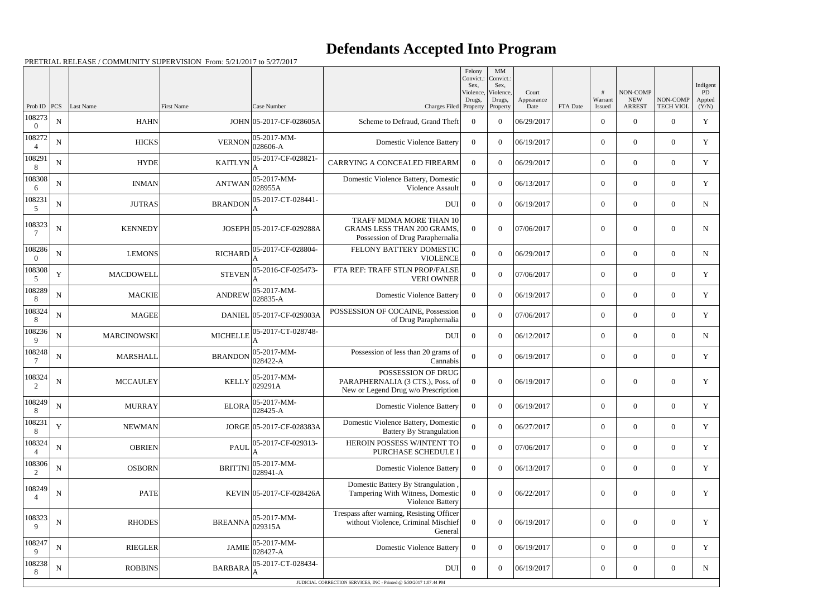## **Defendants Accepted Into Program**

|                        |             |                    |                      |                                                                                                                             |                                                                                                  | Felony<br>Convict.:<br>Sex,<br>Violence, | MM<br>Convict.:<br>Sex,<br>Violence, | Court              |          | #                 | NON-COMP                    |                              | Indigent<br>PD  |
|------------------------|-------------|--------------------|----------------------|-----------------------------------------------------------------------------------------------------------------------------|--------------------------------------------------------------------------------------------------|------------------------------------------|--------------------------------------|--------------------|----------|-------------------|-----------------------------|------------------------------|-----------------|
| Prob ID                | PCS         | Last Name          | <b>First Name</b>    | Case Number                                                                                                                 | Charges Filed Property                                                                           | Drugs,                                   | Drugs,<br>Property                   | Appearance<br>Date | FTA Date | Warrant<br>Issued | <b>NEW</b><br><b>ARREST</b> | NON-COMP<br><b>TECH VIOL</b> | Appted<br>(Y/N) |
| 108273<br>$\theta$     | ${\bf N}$   | <b>HAHN</b>        |                      | JOHN 05-2017-CF-028605A                                                                                                     | Scheme to Defraud, Grand Theft                                                                   | $\overline{0}$                           | $\theta$                             | 06/29/2017         |          | $\overline{0}$    | $\theta$                    | $\overline{0}$               | Y               |
| 108272<br>Δ            | ${\bf N}$   | <b>HICKS</b>       | <b>VERNON</b>        | $ 05-2017-MM-$<br>028606-A                                                                                                  | <b>Domestic Violence Battery</b>                                                                 | $\overline{0}$                           | $\Omega$                             | 06/19/2017         |          | $\boldsymbol{0}$  | $\overline{0}$              | $\overline{0}$               | Y               |
| 108291<br>8            | ${\bf N}$   | <b>HYDE</b>        | <b>KAITLYN</b>       | 05-2017-CF-028821-                                                                                                          | CARRYING A CONCEALED FIREARM                                                                     | $\overline{0}$                           | $\Omega$                             | 06/29/2017         |          | $\overline{0}$    | $\Omega$                    | $\Omega$                     | Y               |
| 108308<br>6            | ${\bf N}$   | <b>INMAN</b>       | <b>ANTWAN</b>        | $ 05-2017-MM-$<br>028955A                                                                                                   | Domestic Violence Battery, Domestic<br>Violence Assault                                          | $\mathbf{0}$                             | $\theta$                             | 06/13/2017         |          | $\overline{0}$    | $\overline{0}$              | $\overline{0}$               | Y               |
| 108231<br>5            | ${\bf N}$   | <b>JUTRAS</b>      | <b>BRANDON</b>       | 05-2017-CT-028441-<br>A                                                                                                     | <b>DUI</b>                                                                                       | $\overline{0}$                           | $\Omega$                             | 06/19/2017         |          | $\overline{0}$    | $\Omega$                    | $\overline{0}$               | N               |
| 108323<br>-7           | $\mathbf N$ | <b>KENNEDY</b>     |                      | JOSEPH 05-2017-CF-029288A                                                                                                   | TRAFF MDMA MORE THAN 10<br><b>GRAMS LESS THAN 200 GRAMS,</b><br>Possession of Drug Paraphernalia | $\theta$                                 | $\Omega$                             | 07/06/2017         |          | $\overline{0}$    | $\Omega$                    | $\overline{0}$               | N               |
| 108286<br>$\theta$     | ${\bf N}$   | <b>LEMONS</b>      |                      | RICHARD $\left  \begin{smallmatrix} 05\text{-}2017-\overline{\text{CF}-028804-} \\ \text{A} \end{smallmatrix} \right $<br>A | FELONY BATTERY DOMESTIC<br><b>VIOLENCE</b>                                                       | $\Omega$                                 | $\Omega$                             | 06/29/2017         |          | $\theta$          | $\theta$                    | $\overline{0}$               | $\mathbf N$     |
| 108308<br>5            | Y           | <b>MACDOWELL</b>   | <b>STEVEN</b>        | 05-2016-CF-025473-                                                                                                          | FTA REF: TRAFF STLN PROP/FALSE<br><b>VERI OWNER</b>                                              | $\overline{0}$                           | $\theta$                             | 07/06/2017         |          | $\overline{0}$    | $\overline{0}$              | $\overline{0}$               | Y               |
| 108289<br>8            | ${\bf N}$   | <b>MACKIE</b>      | <b>ANDREW</b>        | $ 05-2017-MM-$<br>$ 028835-A$                                                                                               | <b>Domestic Violence Battery</b>                                                                 | $\theta$                                 | $\Omega$                             | 06/19/2017         |          | $\overline{0}$    | $\theta$                    | $\overline{0}$               | Y               |
| 108324<br>8            | N           | <b>MAGEE</b>       |                      | DANIEL 05-2017-CF-029303A                                                                                                   | POSSESSION OF COCAINE, Possession<br>of Drug Paraphernalia                                       | $\overline{0}$                           | $\theta$                             | 07/06/2017         |          | $\overline{0}$    | $\overline{0}$              | $\overline{0}$               | Y               |
| 108236<br>$\mathbf{Q}$ | ${\bf N}$   | <b>MARCINOWSKI</b> | <b>MICHELLE</b>      | 05-2017-CT-028748-                                                                                                          | <b>DUI</b>                                                                                       | $\overline{0}$                           | $\Omega$                             | 06/12/2017         |          | $\theta$          | $\theta$                    | $\overline{0}$               | $\mathbf N$     |
| 108248<br>7            | ${\bf N}$   | MARSHALL           | <b>BRANDON</b>       | $ 05-2017-MM-$<br>$ 028422 - A$                                                                                             | Possession of less than 20 grams of<br>Cannabis                                                  | $\Omega$                                 | $\Omega$                             | 06/19/2017         |          | $\overline{0}$    | $\overline{0}$              | $\overline{0}$               | Y               |
| 108324<br>2            | ${\bf N}$   | <b>MCCAULEY</b>    | <b>KELLY</b>         | $ 05 - 2017 - MM -$<br> 029291A                                                                                             | POSSESSION OF DRUG<br>PARAPHERNALIA (3 CTS.), Poss. of<br>New or Legend Drug w/o Prescription    | $\overline{0}$                           | $\theta$                             | 06/19/2017         |          | $\overline{0}$    | $\overline{0}$              | $\overline{0}$               | Y               |
| 108249<br>8            | ${\bf N}$   | <b>MURRAY</b>      |                      | $ELORA$ 05-2017-MM-<br>028425-A                                                                                             | Domestic Violence Battery                                                                        | $\overline{0}$                           | $\overline{0}$                       | 06/19/2017         |          | $\overline{0}$    | $\overline{0}$              | $\overline{0}$               | Y               |
| 108231<br>8            | $\mathbf Y$ | <b>NEWMAN</b>      |                      | JORGE 05-2017-CF-028383A                                                                                                    | Domestic Violence Battery, Domestic<br><b>Battery By Strangulation</b>                           | $\Omega$                                 | $\theta$                             | 06/27/2017         |          | $\overline{0}$    | $\overline{0}$              | $\overline{0}$               | Y               |
| 108324                 | ${\bf N}$   | <b>OBRIEN</b>      | <b>PAUL</b>          | 05-2017-CF-029313-                                                                                                          | HEROIN POSSESS W/INTENT TO<br>PURCHASE SCHEDULE I                                                | $\overline{0}$                           | $\theta$                             | 07/06/2017         |          | $\overline{0}$    | $\overline{0}$              | $\overline{0}$               | Y               |
| 108306<br>2            | ${\bf N}$   | <b>OSBORN</b>      |                      | BRITTNI $\begin{bmatrix} 05-2017-MM \\ 028941-A \end{bmatrix}$                                                              | <b>Domestic Violence Battery</b>                                                                 | $\overline{0}$                           | $\theta$                             | 06/13/2017         |          | $\boldsymbol{0}$  | $\overline{0}$              | $\overline{0}$               | Y               |
| 108249                 | $\mathbf N$ | <b>PATE</b>        |                      | KEVIN 05-2017-CF-028426A                                                                                                    | Domestic Battery By Strangulation<br>Tampering With Witness, Domestic<br>Violence Battery        | $\overline{0}$                           | $\Omega$                             | 06/22/2017         |          | $\boldsymbol{0}$  | $\overline{0}$              | $\boldsymbol{0}$             | Y               |
| 108323<br>9            | ${\bf N}$   | <b>RHODES</b>      | $BREANNA$ $ 029315A$ | $ 05-2017-MM-$                                                                                                              | Trespass after warning, Resisting Officer<br>without Violence, Criminal Mischief<br>General      | $\overline{0}$                           | $\Omega$                             | 06/19/2017         |          | $\boldsymbol{0}$  | $\overline{0}$              | $\mathbf{0}$                 | $\mathbf Y$     |
| 108247<br>9            | $\mathbf N$ | <b>RIEGLER</b>     | <b>JAMIE</b>         | $ 05-2017-MM-$<br>$028427 - A$                                                                                              | <b>Domestic Violence Battery</b>                                                                 | $\overline{0}$                           | $\boldsymbol{0}$                     | 06/19/2017         |          | $\overline{0}$    | $\overline{0}$              | $\overline{0}$               | Y               |
| 108238<br>8            | ${\bf N}$   | <b>ROBBINS</b>     | <b>BARBARA</b>       | 05-2017-CT-028434-<br>A                                                                                                     | <b>DUI</b>                                                                                       | $\boldsymbol{0}$                         | $\boldsymbol{0}$                     | 06/19/2017         |          | $\boldsymbol{0}$  | $\overline{0}$              | $\overline{0}$               | ${\bf N}$       |
|                        |             |                    |                      |                                                                                                                             | JUDICIAL CORRECTION SERVICES, INC - Printed @ 5/30/2017 1:07:44 PM                               |                                          |                                      |                    |          |                   |                             |                              |                 |